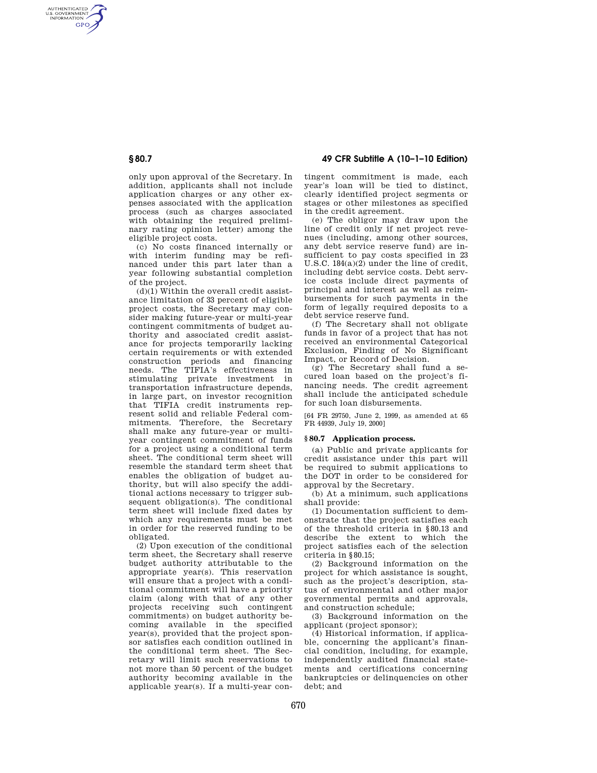AUTHENTICATED<br>U.S. GOVERNMENT<br>INFORMATION **GPO** 

> only upon approval of the Secretary. In addition, applicants shall not include application charges or any other expenses associated with the application process (such as charges associated with obtaining the required preliminary rating opinion letter) among the eligible project costs.

> (c) No costs financed internally or with interim funding may be refinanced under this part later than a year following substantial completion of the project.

 $(d)(1)$  Within the overall credit assistance limitation of 33 percent of eligible project costs, the Secretary may consider making future-year or multi-year contingent commitments of budget authority and associated credit assistance for projects temporarily lacking certain requirements or with extended construction periods and financing needs. The TIFIA's effectiveness in stimulating private investment in transportation infrastructure depends, in large part, on investor recognition that TIFIA credit instruments represent solid and reliable Federal commitments. Therefore, the Secretary shall make any future-year or multiyear contingent commitment of funds for a project using a conditional term sheet. The conditional term sheet will resemble the standard term sheet that enables the obligation of budget authority, but will also specify the additional actions necessary to trigger subsequent obligation(s). The conditional term sheet will include fixed dates by which any requirements must be met in order for the reserved funding to be obligated.

(2) Upon execution of the conditional term sheet, the Secretary shall reserve budget authority attributable to the appropriate year(s). This reservation will ensure that a project with a conditional commitment will have a priority claim (along with that of any other projects receiving such contingent commitments) on budget authority becoming available in the specified year(s), provided that the project sponsor satisfies each condition outlined in the conditional term sheet. The Secretary will limit such reservations to not more than 50 percent of the budget authority becoming available in the applicable year(s). If a multi-year con-

**§ 80.7 49 CFR Subtitle A (10–1–10 Edition)** 

tingent commitment is made, each year's loan will be tied to distinct, clearly identified project segments or stages or other milestones as specified in the credit agreement.

(e) The obligor may draw upon the line of credit only if net project revenues (including, among other sources, any debt service reserve fund) are insufficient to pay costs specified in 23 U.S.C. 184(a)(2) under the line of credit, including debt service costs. Debt service costs include direct payments of principal and interest as well as reimbursements for such payments in the form of legally required deposits to a debt service reserve fund.

(f) The Secretary shall not obligate funds in favor of a project that has not received an environmental Categorical Exclusion, Finding of No Significant Impact, or Record of Decision.

(g) The Secretary shall fund a secured loan based on the project's financing needs. The credit agreement shall include the anticipated schedule for such loan disbursements.

[64 FR 29750, June 2, 1999, as amended at 65 FR 44939, July 19, 2000]

### **§ 80.7 Application process.**

(a) Public and private applicants for credit assistance under this part will be required to submit applications to the DOT in order to be considered for approval by the Secretary.

(b) At a minimum, such applications shall provide:

(1) Documentation sufficient to demonstrate that the project satisfies each of the threshold criteria in §80.13 and describe the extent to which the project satisfies each of the selection criteria in §80.15;

(2) Background information on the project for which assistance is sought, such as the project's description, status of environmental and other major governmental permits and approvals, and construction schedule;

(3) Background information on the applicant (project sponsor);

(4) Historical information, if applicable, concerning the applicant's financial condition, including, for example, independently audited financial statements and certifications concerning bankruptcies or delinquencies on other debt; and